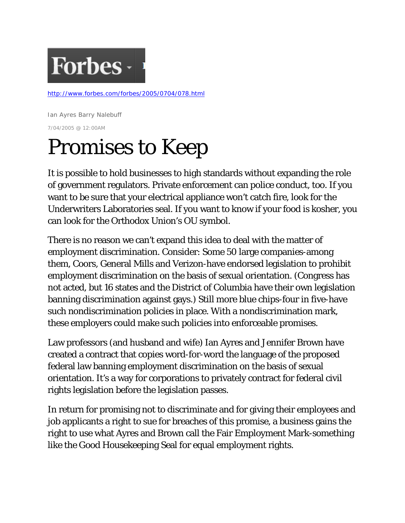

<http://www.forbes.com/forbes/2005/0704/078.html>

Ian Ayres Barry Nalebuff 7/04/2005 @ 12:00AM

## Promises to Keep

It is possible to hold businesses to high standards without expanding the role of government regulators. Private enforcement can police conduct, too. If you want to be sure that your electrical appliance won't catch fire, look for the Underwriters Laboratories seal. If you want to know if your food is kosher, you can look for the Orthodox Union's OU symbol.

There is no reason we can't expand this idea to deal with the matter of employment discrimination. Consider: Some 50 large companies-among them, Coors, General Mills and Verizon-have endorsed legislation to prohibit employment discrimination on the basis of sexual orientation. (Congress has not acted, but 16 states and the District of Columbia have their own legislation banning discrimination against gays.) Still more blue chips-four in five-have such nondiscrimination policies in place. With a nondiscrimination mark, these employers could make such policies into enforceable promises.

Law professors (and husband and wife) Ian Ayres and Jennifer Brown have created a contract that copies word-for-word the language of the proposed federal law banning employment discrimination on the basis of sexual orientation. It's a way for corporations to privately contract for federal civil rights legislation before the legislation passes.

In return for promising not to discriminate and for giving their employees and job applicants a right to sue for breaches of this promise, a business gains the right to use what Ayres and Brown call the Fair Employment Mark-something like the Good Housekeeping Seal for equal employment rights.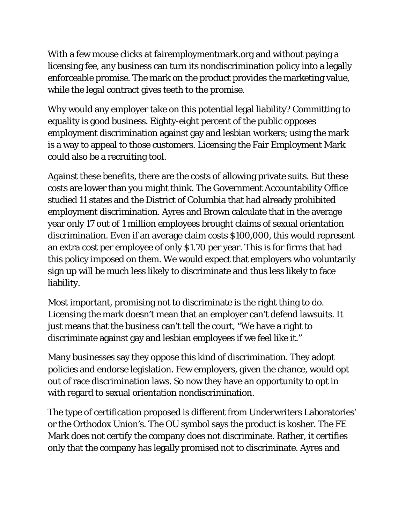With a few mouse clicks at fairemploymentmark.org and without paying a licensing fee, any business can turn its nondiscrimination policy into a legally enforceable promise. The mark on the product provides the marketing value, while the legal contract gives teeth to the promise.

Why would any employer take on this potential legal liability? Committing to equality is good business. Eighty-eight percent of the public opposes employment discrimination against gay and lesbian workers; using the mark is a way to appeal to those customers. Licensing the Fair Employment Mark could also be a recruiting tool.

Against these benefits, there are the costs of allowing private suits. But these costs are lower than you might think. The Government Accountability Office studied 11 states and the District of Columbia that had already prohibited employment discrimination. Ayres and Brown calculate that in the average year only 17 out of 1 million employees brought claims of sexual orientation discrimination. Even if an average claim costs \$100,000, this would represent an extra cost per employee of only \$1.70 per year. This is for firms that had this policy imposed on them. We would expect that employers who voluntarily sign up will be much less likely to discriminate and thus less likely to face liability.

Most important, promising not to discriminate is the right thing to do. Licensing the mark doesn't mean that an employer can't defend lawsuits. It just means that the business can't tell the court, "We have a right to discriminate against gay and lesbian employees if we feel like it."

Many businesses say they oppose this kind of discrimination. They adopt policies and endorse legislation. Few employers, given the chance, would opt out of race discrimination laws. So now they have an opportunity to opt in with regard to sexual orientation nondiscrimination.

The type of certification proposed is different from Underwriters Laboratories' or the Orthodox Union's. The OU symbol says the product is kosher. The FE Mark does not certify the company does not discriminate. Rather, it certifies only that the company has legally promised not to discriminate. Ayres and